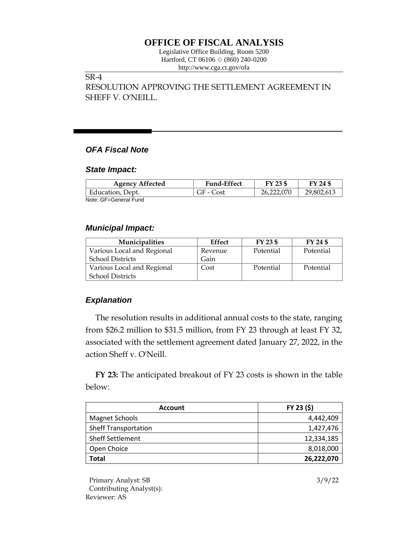# **OFFICE OF FISCAL ANALYSIS**

Legislative Office Building, Room 5200 Hartford, CT 06106  $\Diamond$  (860) 240-0200 http://www.cga.ct.gov/ofa

## SR-4

RESOLUTION APPROVING THE SETTLEMENT AGREEMENT IN SHEFF V. O'NEILL.

# *OFA Fiscal Note*

#### *State Impact:*

| <b>Agency Affected</b> | <b>Fund-Effect</b> | FY 23 \$   | FY 24 \$   |
|------------------------|--------------------|------------|------------|
| Education, Dept.       | GF - Cost          | 26,222,070 | 29,802,613 |
| Note: GF=General Fund  |                    |            |            |

#### *Municipal Impact:*

| Municipalities             | Effect  | FY 23 \$  | $FY$ 24 \$ |
|----------------------------|---------|-----------|------------|
| Various Local and Regional | Revenue | Potential | Potential  |
| <b>School Districts</b>    | Gain    |           |            |
| Various Local and Regional | Cost    | Potential | Potential  |
| <b>School Districts</b>    |         |           |            |

### *Explanation*

The resolution results in additional annual costs to the state, ranging from \$26.2 million to \$31.5 million, from FY 23 through at least FY 32, associated with the settlement agreement dated January 27, 2022, in the action Sheff v. O'Neill.

**FY 23:** The anticipated breakout of FY 23 costs is shown in the table below:

| <b>Account</b>              | FY 23 (\$) |  |
|-----------------------------|------------|--|
| Magnet Schools              | 4,442,409  |  |
| <b>Sheff Transportation</b> | 1,427,476  |  |
| <b>Sheff Settlement</b>     | 12,334,185 |  |
| Open Choice                 | 8,018,000  |  |
| Total                       | 26,222,070 |  |

Primary Analyst: SB 3/9/22 Contributing Analyst(s): Reviewer: AS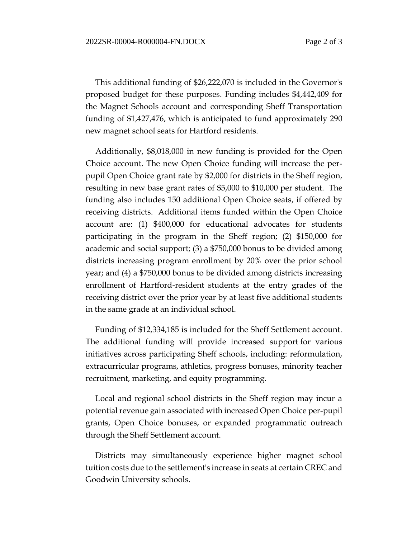This additional funding of \$26,222,070 is included in the Governor's proposed budget for these purposes. Funding includes \$4,442,409 for the Magnet Schools account and corresponding Sheff Transportation funding of \$1,427,476, which is anticipated to fund approximately 290 new magnet school seats for Hartford residents.

Additionally, \$8,018,000 in new funding is provided for the Open Choice account. The new Open Choice funding will increase the perpupil Open Choice grant rate by \$2,000 for districts in the Sheff region, resulting in new base grant rates of \$5,000 to \$10,000 per student. The funding also includes 150 additional Open Choice seats, if offered by receiving districts. Additional items funded within the Open Choice account are: (1) \$400,000 for educational advocates for students participating in the program in the Sheff region; (2) \$150,000 for academic and social support; (3) a \$750,000 bonus to be divided among districts increasing program enrollment by 20% over the prior school year; and (4) a \$750,000 bonus to be divided among districts increasing enrollment of Hartford-resident students at the entry grades of the receiving district over the prior year by at least five additional students in the same grade at an individual school.

Funding of \$12,334,185 is included for the Sheff Settlement account. The additional funding will provide increased support for various initiatives across participating Sheff schools, including: reformulation, extracurricular programs, athletics, progress bonuses, minority teacher recruitment, marketing, and equity programming.

Local and regional school districts in the Sheff region may incur a potential revenue gain associated with increased Open Choice per-pupil grants, Open Choice bonuses, or expanded programmatic outreach through the Sheff Settlement account.

Districts may simultaneously experience higher magnet school tuition costs due to the settlement's increase in seats at certain CREC and Goodwin University schools.